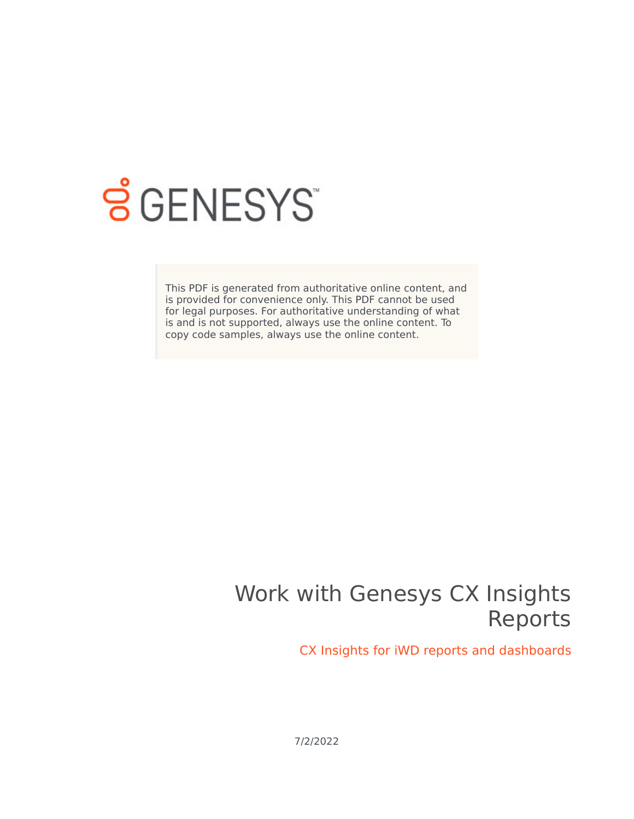

# **S** GENESYS

This PDF is generated from authoritative online content, and is provided for convenience only. This PDF cannot be used for legal purposes. For authoritative understanding of what is and is not supported, always use the online content. To copy code samples, always use the online content.

## Work with Genesys CX Insights Reports

CX Insights for iWD reports and dashboards

7/2/2022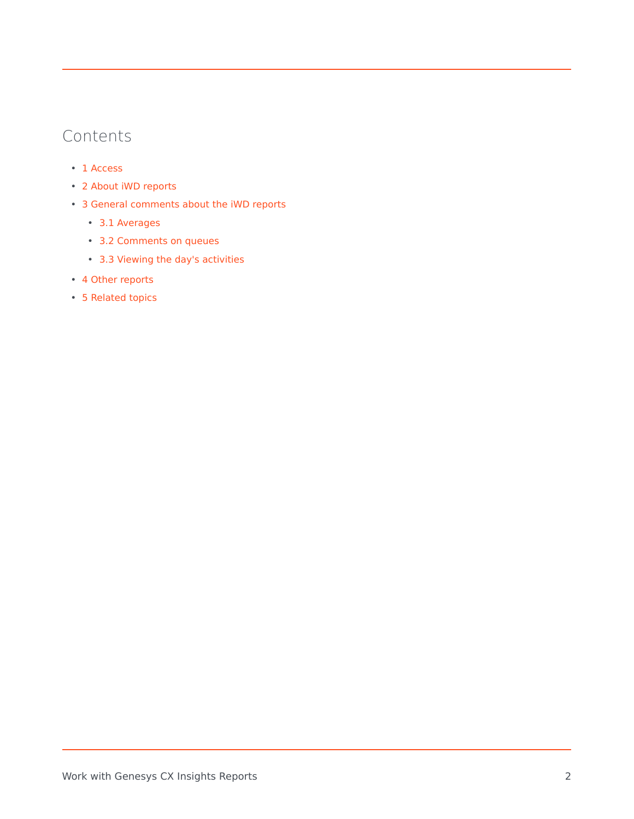## Contents

- 1 [Access](#page-3-0)
- 2 [About iWD reports](#page-3-1)
- 3 [General comments about the iWD reports](#page-4-0)
	- 3.1 [Averages](#page-4-1)
	- 3.2 [Comments on queues](#page-4-2)
	- 3.3 [Viewing the day's activities](#page-4-3)
- 4 [Other reports](#page-5-0)
- 5 [Related topics](#page-5-1)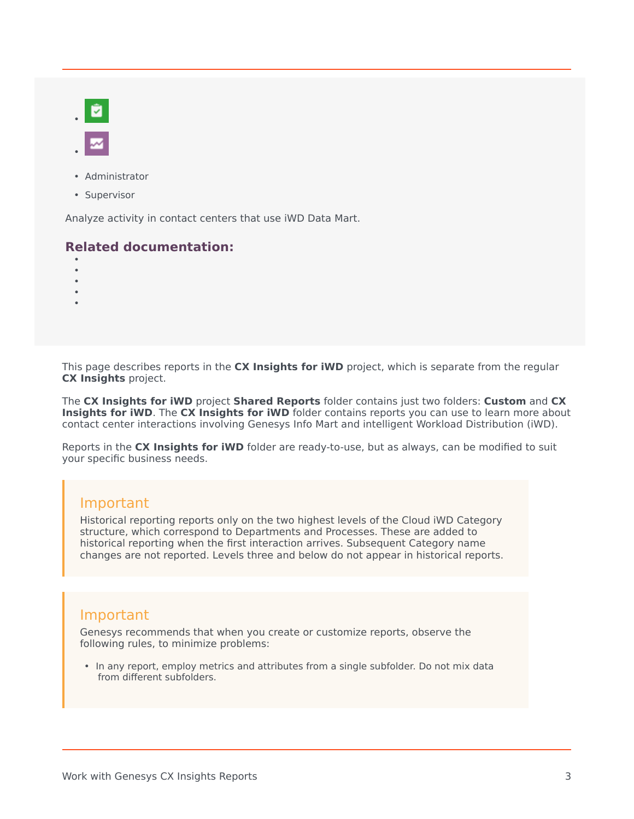- Administrator
- Supervisor

Analyze activity in contact centers that use iWD Data Mart.

#### **Related documentation:**

- •
- •
- •
- •

This page describes reports in the **CX Insights for iWD** project, which is separate from the regular **CX Insights** project.

The **CX Insights for iWD** project **Shared Reports** folder contains just two folders: **Custom** and **CX Insights for iWD**. The **CX Insights for iWD** folder contains reports you can use to learn more about contact center interactions involving Genesys Info Mart and intelligent Workload Distribution (iWD).

Reports in the **CX Insights for iWD** folder are ready-to-use, but as always, can be modified to suit your specific business needs.

#### Important

Historical reporting reports only on the two highest levels of the Cloud iWD Category structure, which correspond to Departments and Processes. These are added to historical reporting when the first interaction arrives. Subsequent Category name changes are not reported. Levels three and below do not appear in historical reports.

#### Important

Genesys recommends that when you create or customize reports, observe the following rules, to minimize problems:

• In any report, employ metrics and attributes from a single subfolder. Do not mix data from different subfolders.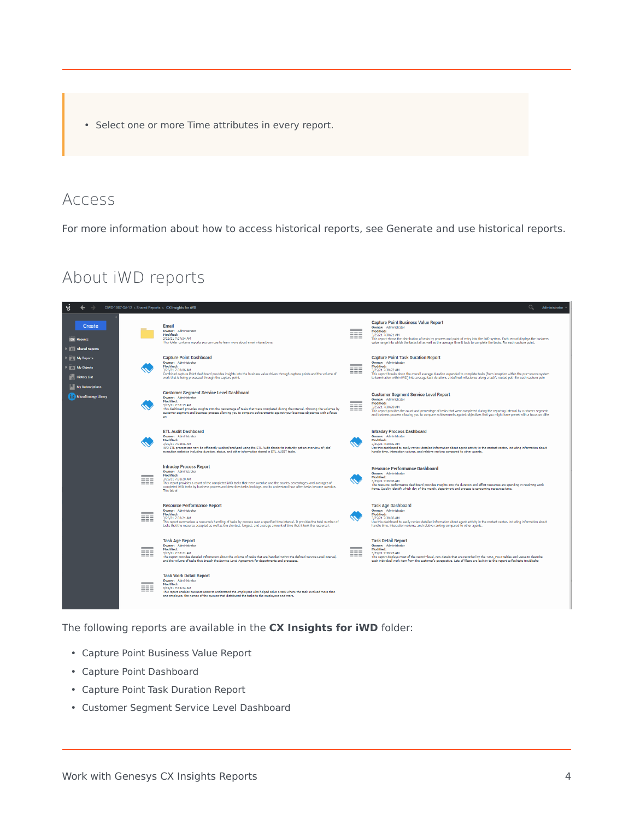• Select one or more Time attributes in every report.

## <span id="page-3-0"></span>Access

For more information about how to access historical reports, see Generate and use historical reports.

## About iWD reports

<span id="page-3-1"></span>

The following reports are available in the **CX Insights for iWD** folder:

- Capture Point Business Value Report
- Capture Point Dashboard
- Capture Point Task Duration Report
- Customer Segment Service Level Dashboard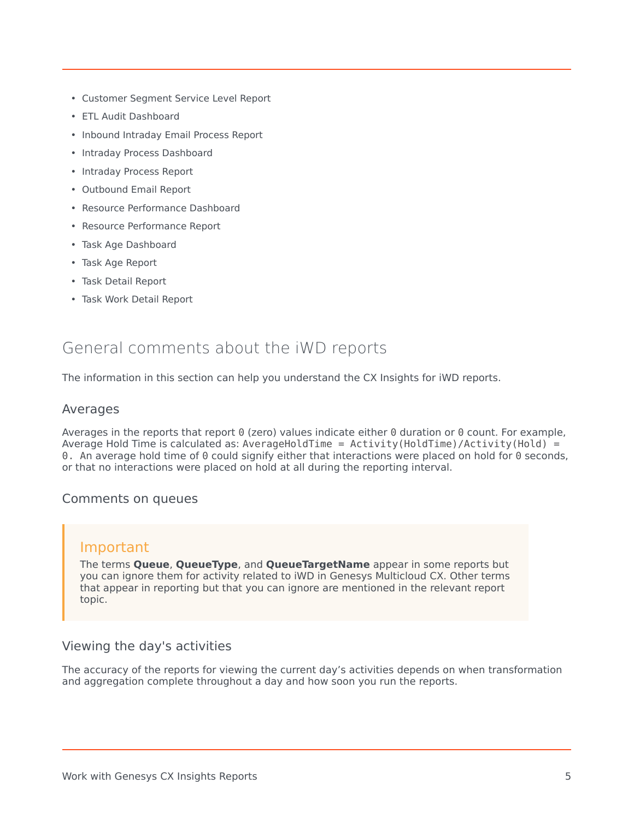- Customer Segment Service Level Report
- ETL Audit Dashboard
- Inbound Intraday Email Process Report
- Intraday Process Dashboard
- Intraday Process Report
- Outbound Email Report
- Resource Performance Dashboard
- Resource Performance Report
- Task Age Dashboard
- Task Age Report
- Task Detail Report
- Task Work Detail Report

## <span id="page-4-0"></span>General comments about the iWD reports

The information in this section can help you understand the CX Insights for iWD reports.

#### <span id="page-4-1"></span>Averages

Averages in the reports that report 0 (zero) values indicate either 0 duration or 0 count. For example, Average Hold Time is calculated as: AverageHoldTime =  $Activity(HoldTime)/Activity(Hold) =$ 0. An average hold time of 0 could signify either that interactions were placed on hold for 0 seconds, or that no interactions were placed on hold at all during the reporting interval.

#### <span id="page-4-2"></span>Comments on queues

#### Important

The terms **Queue**, **QueueType**, and **QueueTargetName** appear in some reports but you can ignore them for activity related to iWD in Genesys Multicloud CX. Other terms that appear in reporting but that you can ignore are mentioned in the relevant report topic.

#### <span id="page-4-3"></span>Viewing the day's activities

The accuracy of the reports for viewing the current day's activities depends on when transformation and aggregation complete throughout a day and how soon you run the reports.